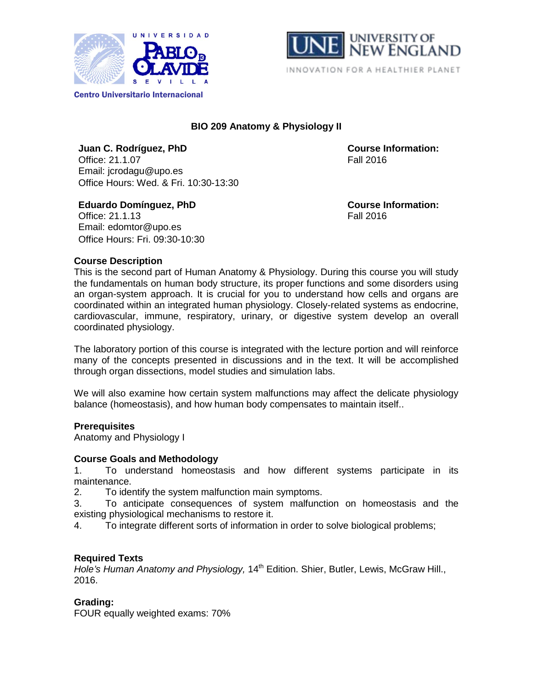



# **BIO 209 Anatomy & Physiology II**

**Juan C. Rodríguez, PhD Course Information:** Office: 21.1.07 Fall 2016 Email: jcrodagu@upo.es Office Hours: Wed. & Fri. 10:30-13:30

Office: 21.1.13 Email: edomtor@upo.es Office Hours: Fri. 09:30-10:30

**Eduardo Domínguez, PhD Course Information:**<br>
Office: 21.1.13 **Course Information:**<br>
Fall 2016

## **Course Description**

This is the second part of Human Anatomy & Physiology. During this course you will study the fundamentals on human body structure, its proper functions and some disorders using an organ-system approach. It is crucial for you to understand how cells and organs are coordinated within an integrated human physiology. Closely-related systems as endocrine, cardiovascular, immune, respiratory, urinary, or digestive system develop an overall coordinated physiology.

The laboratory portion of this course is integrated with the lecture portion and will reinforce many of the concepts presented in discussions and in the text. It will be accomplished through organ dissections, model studies and simulation labs.

We will also examine how certain system malfunctions may affect the delicate physiology balance (homeostasis), and how human body compensates to maintain itself..

## **Prerequisites**

Anatomy and Physiology I

## **Course Goals and Methodology**

1. To understand homeostasis and how different systems participate in its maintenance.

2. To identify the system malfunction main symptoms.

3. To anticipate consequences of system malfunction on homeostasis and the existing physiological mechanisms to restore it.

4. To integrate different sorts of information in order to solve biological problems;

## **Required Texts**

*Hole's Human Anatomy and Physiology,* 14th Edition. Shier, Butler, Lewis, McGraw Hill., 2016.

## **Grading:**

FOUR equally weighted exams: 70%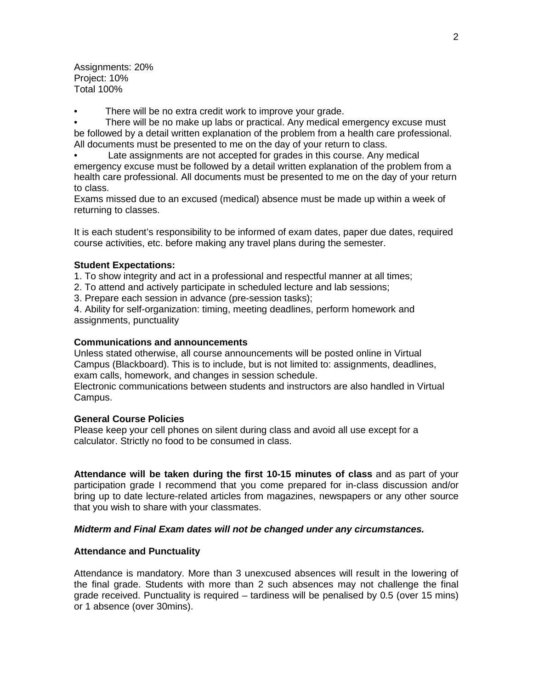Assignments: 20% Project: 10% Total 100%

There will be no extra credit work to improve your grade.

• There will be no make up labs or practical. Any medical emergency excuse must be followed by a detail written explanation of the problem from a health care professional. All documents must be presented to me on the day of your return to class.

Late assignments are not accepted for grades in this course. Any medical emergency excuse must be followed by a detail written explanation of the problem from a health care professional. All documents must be presented to me on the day of your return to class.

Exams missed due to an excused (medical) absence must be made up within a week of returning to classes.

It is each student's responsibility to be informed of exam dates, paper due dates, required course activities, etc. before making any travel plans during the semester.

## **Student Expectations:**

1. To show integrity and act in a professional and respectful manner at all times;

2. To attend and actively participate in scheduled lecture and lab sessions;

3. Prepare each session in advance (pre-session tasks);

4. Ability for self-organization: timing, meeting deadlines, perform homework and assignments, punctuality

### **Communications and announcements**

Unless stated otherwise, all course announcements will be posted online in Virtual Campus (Blackboard). This is to include, but is not limited to: assignments, deadlines, exam calls, homework, and changes in session schedule.

Electronic communications between students and instructors are also handled in Virtual Campus.

### **General Course Policies**

Please keep your cell phones on silent during class and avoid all use except for a calculator. Strictly no food to be consumed in class.

**Attendance will be taken during the first 10-15 minutes of class** and as part of your participation grade I recommend that you come prepared for in-class discussion and/or bring up to date lecture-related articles from magazines, newspapers or any other source that you wish to share with your classmates.

## *Midterm and Final Exam dates will not be changed under any circumstances.*

## **Attendance and Punctuality**

Attendance is mandatory. More than 3 unexcused absences will result in the lowering of the final grade. Students with more than 2 such absences may not challenge the final grade received. Punctuality is required – tardiness will be penalised by 0.5 (over 15 mins) or 1 absence (over 30mins).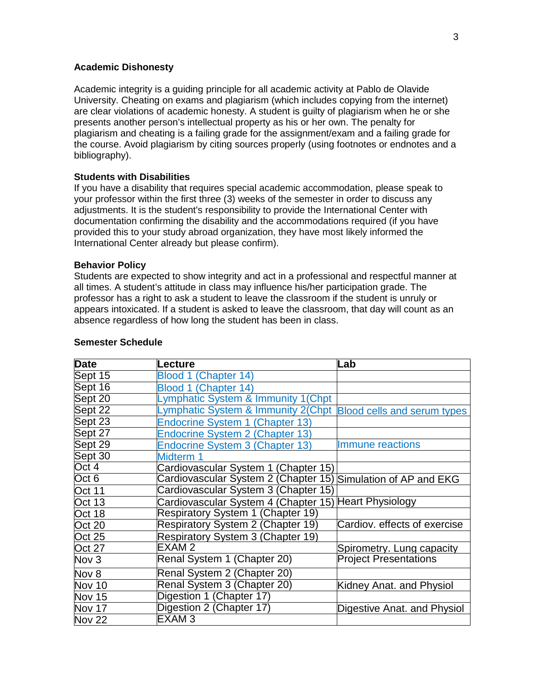### **Academic Dishonesty**

Academic integrity is a guiding principle for all academic activity at Pablo de Olavide University. Cheating on exams and plagiarism (which includes copying from the internet) are clear violations of academic honesty. A student is guilty of plagiarism when he or she presents another person's intellectual property as his or her own. The penalty for plagiarism and cheating is a failing grade for the assignment/exam and a failing grade for the course. Avoid plagiarism by citing sources properly (using footnotes or endnotes and a bibliography).

#### **Students with Disabilities**

If you have a disability that requires special academic accommodation, please speak to your professor within the first three (3) weeks of the semester in order to discuss any adjustments. It is the student's responsibility to provide the International Center with documentation confirming the disability and the accommodations required (if you have provided this to your study abroad organization, they have most likely informed the International Center already but please confirm).

#### **Behavior Policy**

Students are expected to show integrity and act in a professional and respectful manner at all times. A student's attitude in class may influence his/her participation grade. The professor has a right to ask a student to leave the classroom if the student is unruly or appears intoxicated. If a student is asked to leave the classroom, that day will count as an absence regardless of how long the student has been in class.

| <b>Date</b>   | Lecture                                                        | Lab                          |
|---------------|----------------------------------------------------------------|------------------------------|
| Sept 15       | Blood 1 (Chapter 14)                                           |                              |
| Sept 16       | Blood 1 (Chapter 14)                                           |                              |
| Sept 20       | Lymphatic System & Immunity 1(Chpt                             |                              |
| Sept 22       | Lymphatic System & Immunity 2(Chpt Blood cells and serum types |                              |
| Sept 23       | Endocrine System 1 (Chapter 13)                                |                              |
| Sept 27       | <b>Endocrine System 2 (Chapter 13)</b>                         |                              |
| Sept 29       | Endocrine System 3 (Chapter 13)                                | Immune reactions             |
| Sept $30$     | Midterm 1                                                      |                              |
| Oct 4         | Cardiovascular System 1 (Chapter 15)                           |                              |
| Oct 6         | Cardiovascular System 2 (Chapter 15) Simulation of AP and EKG  |                              |
| <b>Oct 11</b> | Cardiovascular System 3 (Chapter 15)                           |                              |
| Oct 13        | Cardiovascular System 4 (Chapter 15) Heart Physiology          |                              |
| Oct 18        | Respiratory System 1 (Chapter 19)                              |                              |
| Oct 20        | Respiratory System 2 (Chapter 19)                              | Cardiov. effects of exercise |
| <b>Oct 25</b> | Respiratory System 3 (Chapter 19)                              |                              |
| <b>Oct 27</b> | EXAM 2                                                         | Spirometry. Lung capacity    |
| Nov 3         | Renal System 1 (Chapter 20)                                    | <b>Project Presentations</b> |
| Nov 8         | Renal System 2 (Chapter 20)                                    |                              |
| Nov 10        | Renal System 3 (Chapter 20)                                    | Kidney Anat. and Physiol     |
| Nov 15        | Digestion 1 (Chapter 17)                                       |                              |
| Nov 17        | Digestion 2 (Chapter 17)                                       | Digestive Anat. and Physiol  |
| <b>Nov 22</b> | EXAM <sub>3</sub>                                              |                              |

#### **Semester Schedule**